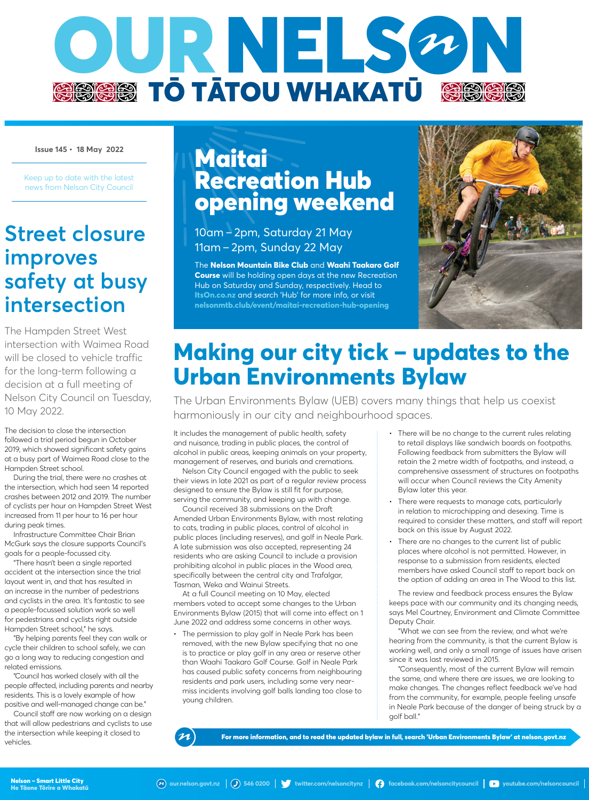

**Issue 145 • 18 May 2022**

Keep up to date with the latest news from Nelson City Council

### **Street closure improves safety at busy intersection**

The Hampden Street West intersection with Waimea Road will be closed to vehicle traffic for the long-term following a decision at a full meeting of Nelson City Council on Tuesday, 10 May 2022.

The decision to close the intersection followed a trial period begun in October 2019, which showed significant safety gains at a busy part of Waimea Road close to the Hampden Street school.

During the trial, there were no crashes at the intersection, which had seen 14 reported crashes between 2012 and 2019. The number of cyclists per hour on Hampden Street West increased from 11 per hour to 16 per hour during peak times.

Infrastructure Committee Chair Brian McGurk says the closure supports Council's goals for a people-focussed city.

"There hasn't been a single reported accident at the intersection since the trial layout went in, and that has resulted in an increase in the number of pedestrians and cyclists in the area. It's fantastic to see a people-focussed solution work so well for pedestrians and cyclists right outside Hampden Street school," he says.

"By helping parents feel they can walk or cycle their children to school safely, we can go a long way to reducing congestion and related emissions.

"Council has worked closely with all the people affected, including parents and nearby residents. This is a lovely example of how positive and well-managed change can be."

Council staff are now working on a design that will allow pedestrians and cyclists to use the intersection while keeping it closed to vehicles.

## Maitai Recreation Hub opening weekend

10am  –  2pm, Saturday 21 May 11am  –  2pm, Sunday 22 May

The **Nelson Mountain Bike Club** and **Waahi Taakaro Golf Course** will be holding open days at the new Recreation Hub on Saturday and Sunday, respectively. Head to **ItsOn.co.nz** and search 'Hub' for more info, or visit **nelsonmtb.club/event/maitai-recreation-hub-opening**



# **Making our city tick – updates to the Urban Environments Bylaw**

The Urban Environments Bylaw (UEB) covers many things that help us coexist harmoniously in our city and neighbourhood spaces.

It includes the management of public health, safety and nuisance, trading in public places, the control of alcohol in public areas, keeping animals on your property, management of reserves, and burials and cremations.

Nelson City Council engaged with the public to seek their views in late 2021 as part of a regular review process designed to ensure the Bylaw is still fit for purpose, serving the community, and keeping up with change.

Council received 38 submissions on the Draft Amended Urban Environments Bylaw, with most relating to cats, trading in public places, control of alcohol in public places (including reserves), and golf in Neale Park. A late submission was also accepted, representing 24 residents who are asking Council to include a provision prohibiting alcohol in public places in the Wood area, specifically between the central city and Trafalgar, Tasman, Weka and Wainui Streets.

At a full Council meeting on 10 May, elected members voted to accept some changes to the Urban Environments Bylaw (2015) that will come into effect on 1 June 2022 and address some concerns in other ways.

• The permission to play golf in Neale Park has been removed, with the new Bylaw specifying that no one is to practice or play golf in any area or reserve other than Waahi Taakaro Golf Course. Golf in Neale Park has caused public safety concerns from neighbouring residents and park users, including some very nearmiss incidents involving golf balls landing too close to young children.

- There will be no change to the current rules relating to retail displays like sandwich boards on footpaths. Following feedback from submitters the Bylaw will retain the 2 metre width of footpaths, and instead, a comprehensive assessment of structures on footpaths will occur when Council reviews the City Amenity Bylaw later this year.
- There were requests to manage cats, particularly in relation to microchipping and desexing. Time is required to consider these matters, and staff will report back on this issue by August 2022.
- There are no changes to the current list of public places where alcohol is not permitted. However, in response to a submission from residents, elected members have asked Council staff to report back on the option of adding an area in The Wood to this list.

The review and feedback process ensures the Bylaw keeps pace with our community and its changing needs, says Mel Courtney, Environment and Climate Committee Deputy Chair.

"What we can see from the review, and what we're hearing from the community, is that the current Bylaw is working well, and only a small range of issues have arisen since it was last reviewed in 2015.

"Consequently, most of the current Bylaw will remain the same, and where there are issues, we are looking to make changes. The changes reflect feedback we've had from the community, for example, people feeling unsafe in Neale Park because of the danger of being struck by a golf ball."

For more information, and to read the updated bylaw in full, search 'Urban Environments Bylaw' at nelson.govt.nz